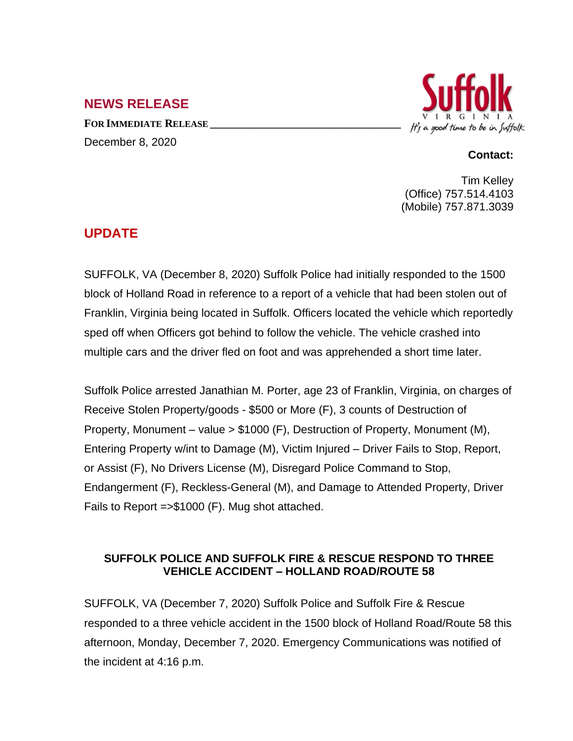## **NEWS RELEASE**

**FOR IMMEDIATE RELEASE \_\_\_\_\_\_\_\_\_\_\_\_\_\_\_\_\_\_\_\_\_\_\_\_\_\_\_\_\_\_\_\_\_\_** December 8, 2020



## **Contact:**

Tim Kelley (Office) 757.514.4103 (Mobile) 757.871.3039

## **UPDATE**

SUFFOLK, VA (December 8, 2020) Suffolk Police had initially responded to the 1500 block of Holland Road in reference to a report of a vehicle that had been stolen out of Franklin, Virginia being located in Suffolk. Officers located the vehicle which reportedly sped off when Officers got behind to follow the vehicle. The vehicle crashed into multiple cars and the driver fled on foot and was apprehended a short time later.

Suffolk Police arrested Janathian M. Porter, age 23 of Franklin, Virginia, on charges of Receive Stolen Property/goods - \$500 or More (F), 3 counts of Destruction of Property, Monument – value > \$1000 (F), Destruction of Property, Monument (M), Entering Property w/int to Damage (M), Victim Injured – Driver Fails to Stop, Report, or Assist (F), No Drivers License (M), Disregard Police Command to Stop, Endangerment (F), Reckless-General (M), and Damage to Attended Property, Driver Fails to Report =>\$1000 (F). Mug shot attached.

## **SUFFOLK POLICE AND SUFFOLK FIRE & RESCUE RESPOND TO THREE VEHICLE ACCIDENT – HOLLAND ROAD/ROUTE 58**

SUFFOLK, VA (December 7, 2020) Suffolk Police and Suffolk Fire & Rescue responded to a three vehicle accident in the 1500 block of Holland Road/Route 58 this afternoon, Monday, December 7, 2020. Emergency Communications was notified of the incident at 4:16 p.m.